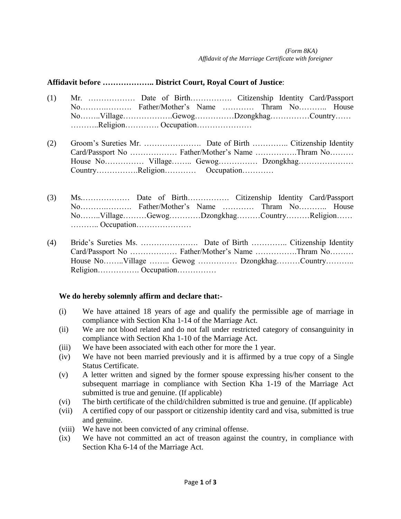## **Affidavit before ……………….. District Court, Royal Court of Justice**:

- (1) Mr. ……………… Date of Birth……………. Citizenship Identity Card/Passport No……….………. Father/Mother's Name ………… Thram No……….. House No……..Village……………….Gewog……………Dzongkhag……………Country…… ………..Religion…………. Occupation…………………
- (2) Groom's Sureties Mr. …………………. Date of Birth ………….. Citizenship Identity Card/Passport No ……………… Father/Mother's Name …………….Thram No……… House No…………… Village…….. Gewog…………… Dzongkhag………………… Country…………….Religion………… Occupation…………
- (3) Ms.……………… Date of Birth……………. Citizenship Identity Card/Passport No……….………. Father/Mother's Name ………… Thram No……….. House No……..Village………Gewog…………Dzongkhag………Country………Religion…… ……….. Occupation…………………
- (4) Bride's Sureties Ms. …………………. Date of Birth ………….. Citizenship Identity Card/Passport No ……………… Father/Mother's Name …………….Thram No……… House No……..Village …….. Gewog …………… Dzongkhag………Country……….. Religion……………. Occupation……………

## **We do hereby solemnly affirm and declare that:-**

- (i) We have attained 18 years of age and qualify the permissible age of marriage in compliance with Section Kha 1-14 of the Marriage Act.
- (ii) We are not blood related and do not fall under restricted category of consanguinity in compliance with Section Kha 1-10 of the Marriage Act.
- (iii) We have been associated with each other for more the 1 year.
- (iv) We have not been married previously and it is affirmed by a true copy of a Single Status Certificate.
- (v) A letter written and signed by the former spouse expressing his/her consent to the subsequent marriage in compliance with Section Kha 1-19 of the Marriage Act submitted is true and genuine. (If applicable)
- (vi) The birth certificate of the child/children submitted is true and genuine. (If applicable)
- (vii) A certified copy of our passport or citizenship identity card and visa, submitted is true and genuine.
- (viii) We have not been convicted of any criminal offense.
- (ix) We have not committed an act of treason against the country, in compliance with Section Kha 6-14 of the Marriage Act.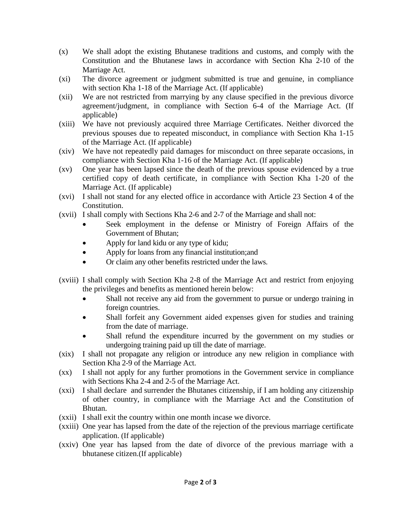- (x) We shall adopt the existing Bhutanese traditions and customs, and comply with the Constitution and the Bhutanese laws in accordance with Section Kha 2-10 of the Marriage Act.
- (xi) The divorce agreement or judgment submitted is true and genuine, in compliance with section Kha 1-18 of the Marriage Act. (If applicable)
- (xii) We are not restricted from marrying by any clause specified in the previous divorce agreement/judgment, in compliance with Section 6-4 of the Marriage Act. (If applicable)
- (xiii) We have not previously acquired three Marriage Certificates. Neither divorced the previous spouses due to repeated misconduct, in compliance with Section Kha 1-15 of the Marriage Act. (If applicable)
- (xiv) We have not repeatedly paid damages for misconduct on three separate occasions, in compliance with Section Kha 1-16 of the Marriage Act. (If applicable)
- (xv) One year has been lapsed since the death of the previous spouse evidenced by a true certified copy of death certificate, in compliance with Section Kha 1-20 of the Marriage Act. (If applicable)
- (xvi) I shall not stand for any elected office in accordance with Article 23 Section 4 of the Constitution.
- (xvii) I shall comply with Sections Kha 2-6 and 2-7 of the Marriage and shall not:
	- Seek employment in the defense or Ministry of Foreign Affairs of the Government of Bhutan;
	- Apply for land kidu or any type of kidu;
	- Apply for loans from any financial institution; and
	- Or claim any other benefits restricted under the laws.
- (xviii) I shall comply with Section Kha 2-8 of the Marriage Act and restrict from enjoying the privileges and benefits as mentioned herein below:
	- Shall not receive any aid from the government to pursue or undergo training in foreign countries.
	- Shall forfeit any Government aided expenses given for studies and training from the date of marriage.
	- Shall refund the expenditure incurred by the government on my studies or undergoing training paid up till the date of marriage.
- (xix) I shall not propagate any religion or introduce any new religion in compliance with Section Kha 2-9 of the Marriage Act.
- (xx) I shall not apply for any further promotions in the Government service in compliance with Sections Kha 2-4 and 2-5 of the Marriage Act.
- (xxi) I shall declare and surrender the Bhutanes citizenship, if I am holding any citizenship of other country, in compliance with the Marriage Act and the Constitution of Bhutan.
- (xxii) I shall exit the country within one month incase we divorce.
- (xxiii) One year has lapsed from the date of the rejection of the previous marriage certificate application. (If applicable)
- (xxiv) One year has lapsed from the date of divorce of the previous marriage with a bhutanese citizen.(If applicable)